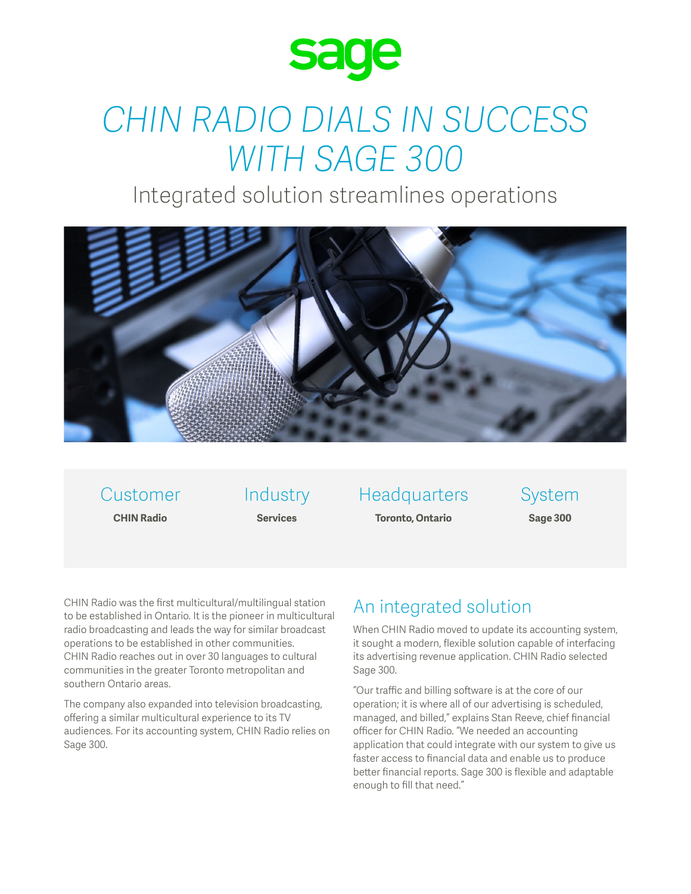

# *CHIN RADIO DIALS IN SUCCESS WITH SAGE 300*

Integrated solution streamlines operations



Customer **CHIN Radio**

Industry **Services**

**Headquarters Toronto, Ontario**

System **Sage 300**

CHIN Radio was the first multicultural/multilingual station to be established in Ontario. It is the pioneer in multicultural radio broadcasting and leads the way for similar broadcast operations to be established in other communities. CHIN Radio reaches out in over 30 languages to cultural communities in the greater Toronto metropolitan and southern Ontario areas.

The company also expanded into television broadcasting, offering a similar multicultural experience to its TV audiences. For its accounting system, CHIN Radio relies on Sage 300.

## An integrated solution

When CHIN Radio moved to update its accounting system, it sought a modern, flexible solution capable of interfacing its advertising revenue application. CHIN Radio selected Sage 300.

"Our traffic and billing software is at the core of our operation; it is where all of our advertising is scheduled, managed, and billed," explains Stan Reeve, chief financial officer for CHIN Radio. "We needed an accounting application that could integrate with our system to give us faster access to financial data and enable us to produce better financial reports. Sage 300 is flexible and adaptable enough to fill that need."